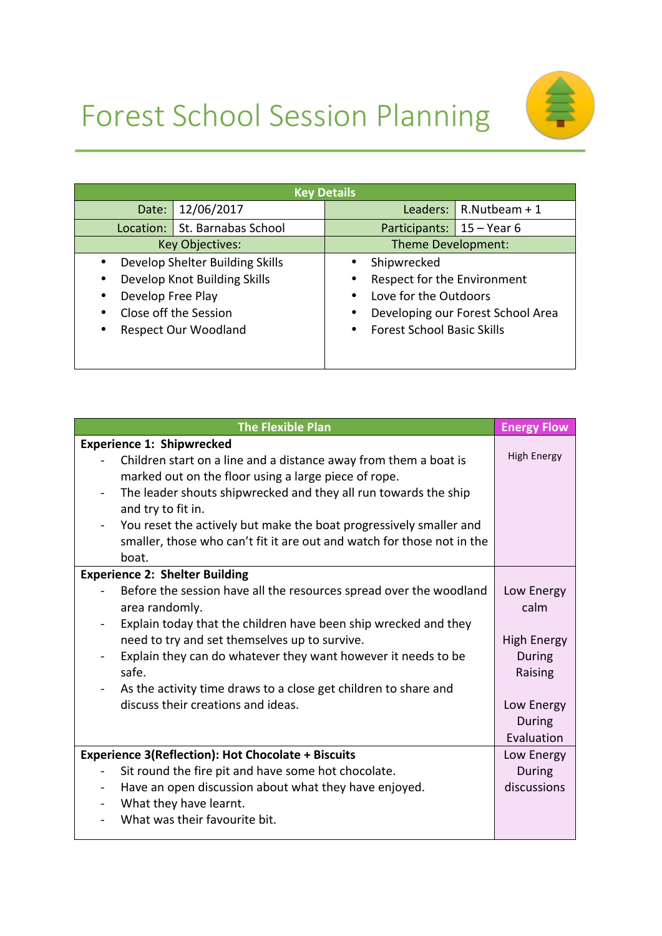## Forest School Session Planning



| <b>Key Details</b>              |                                   |  |
|---------------------------------|-----------------------------------|--|
| 12/06/2017                      | $R.Nutbeam + 1$                   |  |
| Date:                           | Leaders:                          |  |
| St. Barnabas School             | $15 - Year 6$                     |  |
| Location:                       | Participants:                     |  |
| <b>Key Objectives:</b>          | Theme Development:                |  |
| Develop Shelter Building Skills | Shipwrecked                       |  |
| Develop Knot Building Skills    | Respect for the Environment       |  |
| ٠                               | $\bullet$                         |  |
| Develop Free Play               | Love for the Outdoors             |  |
| ٠                               | $\bullet$                         |  |
| Close off the Session           | Developing our Forest School Area |  |
| ٠                               | $\bullet$                         |  |
| <b>Respect Our Woodland</b>     | <b>Forest School Basic Skills</b> |  |
| ٠                               | $\bullet$                         |  |

| <b>The Flexible Plan</b>                                                                                                                                                                    | <b>Energy Flow</b>       |
|---------------------------------------------------------------------------------------------------------------------------------------------------------------------------------------------|--------------------------|
| <b>Experience 1: Shipwrecked</b>                                                                                                                                                            |                          |
| Children start on a line and a distance away from them a boat is<br>marked out on the floor using a large piece of rope.<br>The leader shouts shipwrecked and they all run towards the ship | <b>High Energy</b>       |
| and try to fit in.                                                                                                                                                                          |                          |
| You reset the actively but make the boat progressively smaller and                                                                                                                          |                          |
| smaller, those who can't fit it are out and watch for those not in the<br>boat.                                                                                                             |                          |
| <b>Experience 2: Shelter Building</b>                                                                                                                                                       |                          |
| Before the session have all the resources spread over the woodland<br>area randomly.                                                                                                        | Low Energy<br>calm       |
| Explain today that the children have been ship wrecked and they                                                                                                                             |                          |
| need to try and set themselves up to survive.                                                                                                                                               | <b>High Energy</b>       |
| Explain they can do whatever they want however it needs to be<br>safe.                                                                                                                      | <b>During</b><br>Raising |
| As the activity time draws to a close get children to share and                                                                                                                             |                          |
| discuss their creations and ideas.                                                                                                                                                          | Low Energy               |
|                                                                                                                                                                                             | During                   |
|                                                                                                                                                                                             | Evaluation               |
| <b>Experience 3(Reflection): Hot Chocolate + Biscuits</b>                                                                                                                                   | Low Energy               |
| Sit round the fire pit and have some hot chocolate.                                                                                                                                         | During                   |
| Have an open discussion about what they have enjoyed.<br>$\blacksquare$                                                                                                                     | discussions              |
| What they have learnt.                                                                                                                                                                      |                          |
| What was their favourite bit.                                                                                                                                                               |                          |